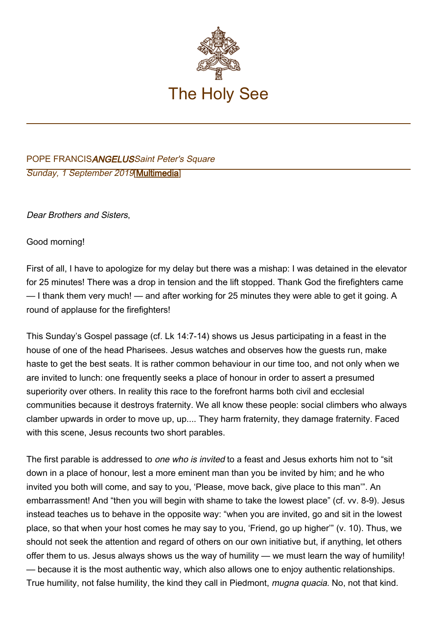

## POPE FRANCISANGELUSSaint Peter's Square Sunday, 1 September 2019[\[Multimedia](http://w2.vatican.va/content/francesco/en/events/event.dir.html/content/vaticanevents/en/2019/9/1/angelus.html)]

Dear Brothers and Sisters,

Good morning!

First of all, I have to apologize for my delay but there was a mishap: I was detained in the elevator for 25 minutes! There was a drop in tension and the lift stopped. Thank God the firefighters came — I thank them very much! — and after working for 25 minutes they were able to get it going. A round of applause for the firefighters!

This Sunday's Gospel passage (cf. Lk 14:7-14) shows us Jesus participating in a feast in the house of one of the head Pharisees. Jesus watches and observes how the guests run, make haste to get the best seats. It is rather common behaviour in our time too, and not only when we are invited to lunch: one frequently seeks a place of honour in order to assert a presumed superiority over others. In reality this race to the forefront harms both civil and ecclesial communities because it destroys fraternity. We all know these people: social climbers who always clamber upwards in order to move up, up.... They harm fraternity, they damage fraternity. Faced with this scene, Jesus recounts two short parables.

The first parable is addressed to *one who is invited* to a feast and Jesus exhorts him not to "sit down in a place of honour, lest a more eminent man than you be invited by him; and he who invited you both will come, and say to you, 'Please, move back, give place to this man'". An embarrassment! And "then you will begin with shame to take the lowest place" (cf. vv. 8-9). Jesus instead teaches us to behave in the opposite way: "when you are invited, go and sit in the lowest place, so that when your host comes he may say to you, 'Friend, go up higher'" (v. 10). Thus, we should not seek the attention and regard of others on our own initiative but, if anything, let others offer them to us. Jesus always shows us the way of humility — we must learn the way of humility! — because it is the most authentic way, which also allows one to enjoy authentic relationships. True humility, not false humility, the kind they call in Piedmont, *mugna quacia*. No, not that kind,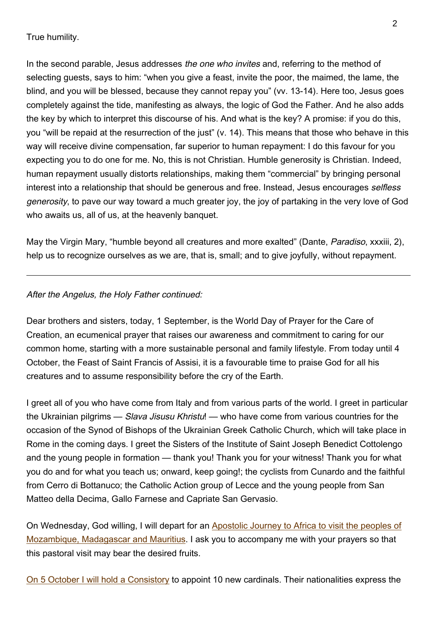## True humility.

In the second parable, Jesus addresses the one who invites and, referring to the method of selecting guests, says to him: "when you give a feast, invite the poor, the maimed, the lame, the blind, and you will be blessed, because they cannot repay you" (vv. 13-14). Here too, Jesus goes completely against the tide, manifesting as always, the logic of God the Father. And he also adds the key by which to interpret this discourse of his. And what is the key? A promise: if you do this, you "will be repaid at the resurrection of the just" (v. 14). This means that those who behave in this way will receive divine compensation, far superior to human repayment: I do this favour for you expecting you to do one for me. No, this is not Christian. Humble generosity is Christian. Indeed, human repayment usually distorts relationships, making them "commercial" by bringing personal interest into a relationship that should be generous and free. Instead, Jesus encourages selfless generosity, to pave our way toward a much greater joy, the joy of partaking in the very love of God who awaits us, all of us, at the heavenly banquet.

May the Virgin Mary, "humble beyond all creatures and more exalted" (Dante, Paradiso, xxxiii, 2), help us to recognize ourselves as we are, that is, small; and to give joyfully, without repayment.

## After the Angelus, the Holy Father continued:

Dear brothers and sisters, today, 1 September, is the World Day of Prayer for the Care of Creation, an ecumenical prayer that raises our awareness and commitment to caring for our common home, starting with a more sustainable personal and family lifestyle. From today until 4 October, the Feast of Saint Francis of Assisi, it is a favourable time to praise God for all his creatures and to assume responsibility before the cry of the Earth.

I greet all of you who have come from Italy and from various parts of the world. I greet in particular the Ukrainian pilgrims — Slava Jisusu Khristu! — who have come from various countries for the occasion of the Synod of Bishops of the Ukrainian Greek Catholic Church, which will take place in Rome in the coming days. I greet the Sisters of the Institute of Saint Joseph Benedict Cottolengo and the young people in formation — thank you! Thank you for your witness! Thank you for what you do and for what you teach us; onward, keep going!; the cyclists from Cunardo and the faithful from Cerro di Bottanuco; the Catholic Action group of Lecce and the young people from San Matteo della Decima, Gallo Farnese and Capriate San Gervasio.

On Wednesday, God willing, I will depart for an [Apostolic Journey to Africa to visit the peoples of](http://w2.vatican.va/content/francesco/it/travels/2019/outside/documents/papa-francesco-mozambico-madagascar-maurizio-2019.html) [Mozambique, Madagascar and Mauritius.](http://w2.vatican.va/content/francesco/it/travels/2019/outside/documents/papa-francesco-mozambico-madagascar-maurizio-2019.html) I ask you to accompany me with your prayers so that this pastoral visit may bear the desired fruits.

On 5 October I will hold a Consistory to appoint 10 new cardinals. Their nationalities express the